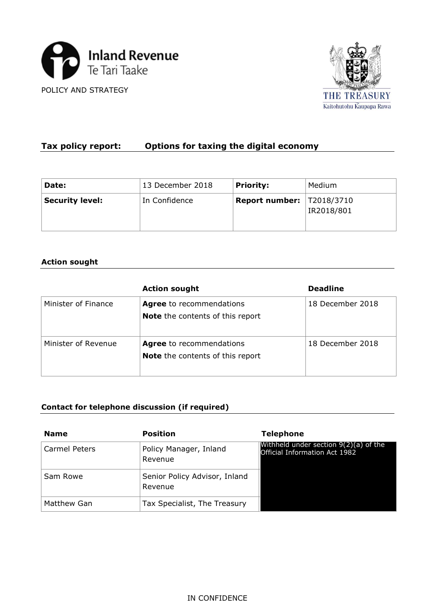



# **Tax policy report: Options for taxing the digital economy**

| Date:                  | 13 December 2018 | <b>Priority:</b>                   | Medium     |
|------------------------|------------------|------------------------------------|------------|
| <b>Security level:</b> | In Confidence    | <b>Report number:   T2018/3710</b> | IR2018/801 |

### **Action sought**

|                     | <b>Action sought</b>                                                       | <b>Deadline</b>  |
|---------------------|----------------------------------------------------------------------------|------------------|
| Minister of Finance | <b>Agree</b> to recommendations<br><b>Note</b> the contents of this report | 18 December 2018 |
| Minister of Revenue | <b>Agree</b> to recommendations<br><b>Note</b> the contents of this report | 18 December 2018 |

## **Contact for telephone discussion (if required)**

| <b>Name</b>   | <b>Position</b>                          | <b>Telephone</b>                                                         |
|---------------|------------------------------------------|--------------------------------------------------------------------------|
| Carmel Peters | Policy Manager, Inland<br>Revenue        | Withheld under section $9(2)(a)$ of the<br>Official Information Act 1982 |
| Sam Rowe      | Senior Policy Advisor, Inland<br>Revenue |                                                                          |
| Matthew Gan   | Tax Specialist, The Treasury             |                                                                          |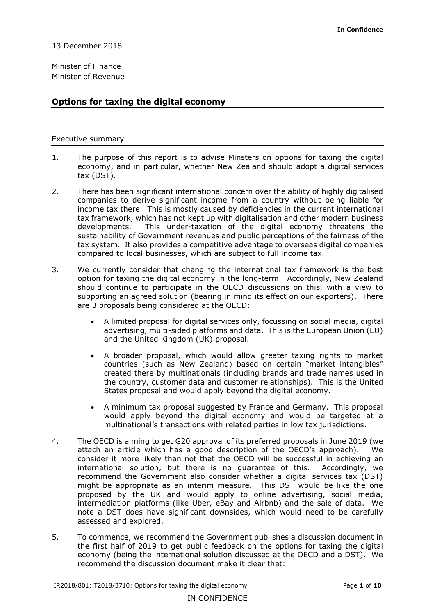Minister of Finance Minister of Revenue

#### **Options for taxing the digital economy**

#### Executive summary

- 1. The purpose of this report is to advise Minsters on options for taxing the digital economy, and in particular, whether New Zealand should adopt a digital services tax (DST).
- 2. There has been significant international concern over the ability of highly digitalised companies to derive significant income from a country without being liable for income tax there. This is mostly caused by deficiencies in the current international tax framework, which has not kept up with digitalisation and other modern business developments. This under-taxation of the digital economy threatens the sustainability of Government revenues and public perceptions of the fairness of the tax system. It also provides a competitive advantage to overseas digital companies compared to local businesses, which are subject to full income tax.
- 3. We currently consider that changing the international tax framework is the best option for taxing the digital economy in the long-term. Accordingly, New Zealand should continue to participate in the OECD discussions on this, with a view to supporting an agreed solution (bearing in mind its effect on our exporters). There are 3 proposals being considered at the OECD:
	- A limited proposal for digital services only, focussing on social media, digital advertising, multi-sided platforms and data. This is the European Union (EU) and the United Kingdom (UK) proposal.
	- A broader proposal, which would allow greater taxing rights to market countries (such as New Zealand) based on certain "market intangibles" created there by multinationals (including brands and trade names used in the country, customer data and customer relationships). This is the United States proposal and would apply beyond the digital economy.
	- A minimum tax proposal suggested by France and Germany. This proposal would apply beyond the digital economy and would be targeted at a multinational's transactions with related parties in low tax jurisdictions.
- 4. The OECD is aiming to get G20 approval of its preferred proposals in June 2019 (we attach an article which has a good description of the OECD's approach). We consider it more likely than not that the OECD will be successful in achieving an international solution, but there is no guarantee of this. Accordingly, we recommend the Government also consider whether a digital services tax (DST) might be appropriate as an interim measure. This DST would be like the one proposed by the UK and would apply to online advertising, social media, intermediation platforms (like Uber, eBay and Airbnb) and the sale of data. We note a DST does have significant downsides, which would need to be carefully assessed and explored.
- 5. To commence, we recommend the Government publishes a discussion document in the first half of 2019 to get public feedback on the options for taxing the digital economy (being the international solution discussed at the OECD and a DST). We recommend the discussion document make it clear that: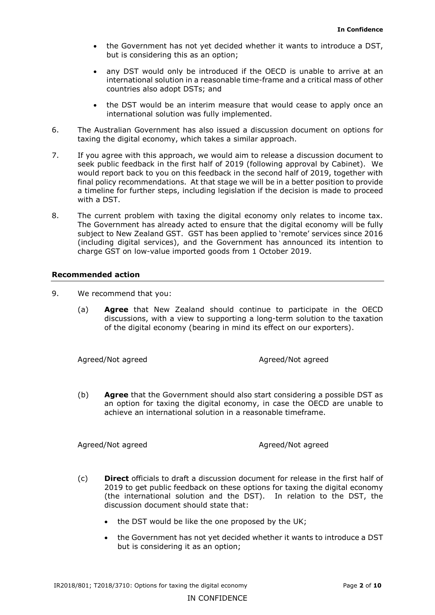- the Government has not yet decided whether it wants to introduce a DST, but is considering this as an option;
- any DST would only be introduced if the OECD is unable to arrive at an international solution in a reasonable time-frame and a critical mass of other countries also adopt DSTs; and
- the DST would be an interim measure that would cease to apply once an international solution was fully implemented.
- 6. The Australian Government has also issued a discussion document on options for taxing the digital economy, which takes a similar approach.
- 7. If you agree with this approach, we would aim to release a discussion document to seek public feedback in the first half of 2019 (following approval by Cabinet). We would report back to you on this feedback in the second half of 2019, together with final policy recommendations. At that stage we will be in a better position to provide a timeline for further steps, including legislation if the decision is made to proceed with a DST.
- 8. The current problem with taxing the digital economy only relates to income tax. The Government has already acted to ensure that the digital economy will be fully subject to New Zealand GST. GST has been applied to 'remote' services since 2016 (including digital services), and the Government has announced its intention to charge GST on low-value imported goods from 1 October 2019.

#### **Recommended action**

- 9. We recommend that you:
	- (a) **Agree** that New Zealand should continue to participate in the OECD discussions, with a view to supporting a long-term solution to the taxation of the digital economy (bearing in mind its effect on our exporters).

Agreed/Not agreed Agreed/Not agreed

(b) **Agree** that the Government should also start considering a possible DST as an option for taxing the digital economy, in case the OECD are unable to achieve an international solution in a reasonable timeframe.

Agreed/Not agreed Agreed/Not agreed Agreed/Not agreed

- (c) **Direct** officials to draft a discussion document for release in the first half of 2019 to get public feedback on these options for taxing the digital economy (the international solution and the DST). In relation to the DST, the discussion document should state that:
	- the DST would be like the one proposed by the UK;
	- the Government has not yet decided whether it wants to introduce a DST but is considering it as an option;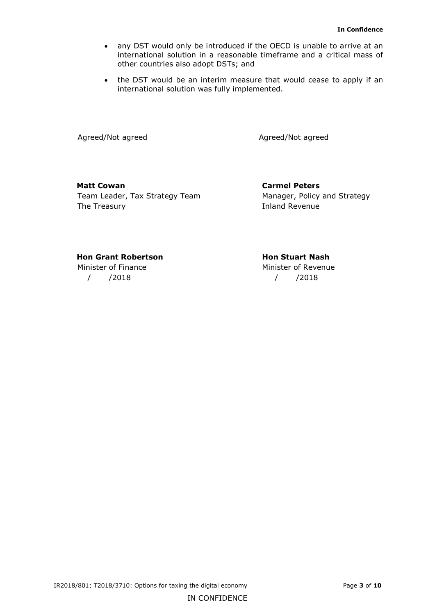- any DST would only be introduced if the OECD is unable to arrive at an international solution in a reasonable timeframe and a critical mass of other countries also adopt DSTs; and
- the DST would be an interim measure that would cease to apply if an international solution was fully implemented.

Agreed/Not agreed Agreed/Not agreed

**Matt Cowan Carmel Peters** Team Leader, Tax Strategy Team Manager, Policy and Strategy The Treasury **Inland Revenue** 

#### **Hon Grant Robertson Hon Stuart Nash**

/ /2018 / /2018

Minister of Finance Minister of Revenue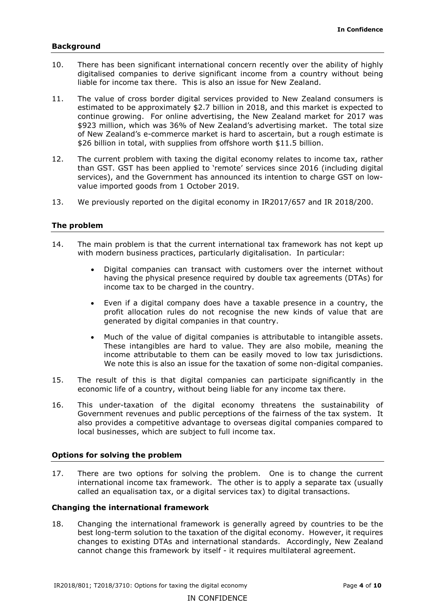#### **Background**

- 10. There has been significant international concern recently over the ability of highly digitalised companies to derive significant income from a country without being liable for income tax there. This is also an issue for New Zealand.
- 11. The value of cross border digital services provided to New Zealand consumers is estimated to be approximately \$2.7 billion in 2018, and this market is expected to continue growing. For online advertising, the New Zealand market for 2017 was \$923 million, which was 36% of New Zealand's advertising market. The total size of New Zealand's e-commerce market is hard to ascertain, but a rough estimate is \$26 billion in total, with supplies from offshore worth \$11.5 billion.
- 12. The current problem with taxing the digital economy relates to income tax, rather than GST. GST has been applied to 'remote' services since 2016 (including digital services), and the Government has announced its intention to charge GST on lowvalue imported goods from 1 October 2019.
- 13. We previously reported on the digital economy in IR2017/657 and IR 2018/200.

#### **The problem**

- 14. The main problem is that the current international tax framework has not kept up with modern business practices, particularly digitalisation. In particular:
	- Digital companies can transact with customers over the internet without having the physical presence required by double tax agreements (DTAs) for income tax to be charged in the country.
	- Even if a digital company does have a taxable presence in a country, the profit allocation rules do not recognise the new kinds of value that are generated by digital companies in that country.
	- Much of the value of digital companies is attributable to intangible assets. These intangibles are hard to value. They are also mobile, meaning the income attributable to them can be easily moved to low tax jurisdictions. We note this is also an issue for the taxation of some non-digital companies.
- 15. The result of this is that digital companies can participate significantly in the economic life of a country, without being liable for any income tax there.
- 16. This under-taxation of the digital economy threatens the sustainability of Government revenues and public perceptions of the fairness of the tax system. It also provides a competitive advantage to overseas digital companies compared to local businesses, which are subject to full income tax.

#### **Options for solving the problem**

17. There are two options for solving the problem. One is to change the current international income tax framework. The other is to apply a separate tax (usually called an equalisation tax, or a digital services tax) to digital transactions.

#### **Changing the international framework**

18. Changing the international framework is generally agreed by countries to be the best long-term solution to the taxation of the digital economy. However, it requires changes to existing DTAs and international standards. Accordingly, New Zealand cannot change this framework by itself - it requires multilateral agreement.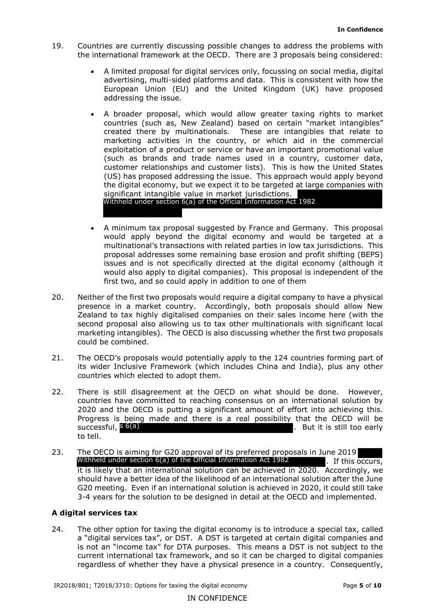- 19. Countries are currently discussing possible changes to address the problems with the international framework at the OECD. There are 3 proposals being considered:
	- A limited proposal for digital services only, focussing on social media, digital advertising, multi-sided platforms and data. This is consistent with how the European Union (EU) and the United Kingdom (UK) have proposed addressing the issue.
	- A broader proposal, which would allow greater taxing rights to market countries (such as, New Zealand) based on certain "market intangibles" created there by multinationals. These are intangibles that relate to marketing activities in the country, or which aid in the commercial exploitation of a product or service or have an important promotional value (such as brands and trade names used in a country, customer data, customer relationships and customer lists). This is how the United States (US) has proposed addressing the issue. This approach would apply beyond the digital economy, but we expect it to be targeted at large companies with significant intangible value in market jurisdictions. Withheld under section 6(a) of the Official Information Act 1982
	- A minimum tax proposal suggested by France and Germany. This proposal would apply beyond the digital economy and would be targeted at a multinational's transactions with related parties in low tax jurisdictions. This proposal addresses some remaining base erosion and profit shifting (BEPS) issues and is not specifically directed at the digital economy (although it would also apply to digital companies). This proposal is independent of the first two, and so could apply in addition to one of them
- 20. Neither of the first two proposals would require a digital company to have a physical presence in a market country. Accordingly, both proposals should allow New Zealand to tax highly digitalised companies on their sales income here (with the second proposal also allowing us to tax other multinationals with significant local marketing intangibles). The OECD is also discussing whether the first two proposals could be combined.
- 21. The OECD's proposals would potentially apply to the 124 countries forming part of its wider Inclusive Framework (which includes China and India), plus any other countries which elected to adopt them.
- 22. There is still disagreement at the OECD on what should be done. However, countries have committed to reaching consensus on an international solution by 2020 and the OECD is putting a significant amount of effort into achieving this. Progress is being made and there is a real possibility that the OECD will be . But it is still too early to tell. successful,  $s$  6(a)
- 23. The OECD is aiming for G20 approval of its preferred proposals in June 2019 . If this occurs, it is likely that an international solution can be achieved in 2020. Accordingly, we should have a better idea of the likelihood of an international solution after the June G20 meeting. Even if an international solution is achieved in 2020, it could still take 3-4 years for the solution to be designed in detail at the OECD and implemented. Withheld under section 6(a) of the Official Information Act 1982

#### **A digital services tax**

24. The other option for taxing the digital economy is to introduce a special tax, called a "digital services tax", or DST. A DST is targeted at certain digital companies and is not an "income tax" for DTA purposes. This means a DST is not subject to the current international tax framework, and so it can be charged to digital companies regardless of whether they have a physical presence in a country. Consequently,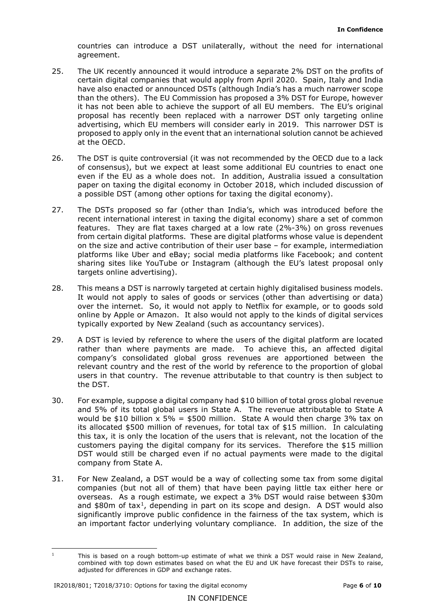countries can introduce a DST unilaterally, without the need for international agreement.

- 25. The UK recently announced it would introduce a separate 2% DST on the profits of certain digital companies that would apply from April 2020. Spain, Italy and India have also enacted or announced DSTs (although India's has a much narrower scope than the others). The EU Commission has proposed a 3% DST for Europe, however it has not been able to achieve the support of all EU members. The EU's original proposal has recently been replaced with a narrower DST only targeting online advertising, which EU members will consider early in 2019. This narrower DST is proposed to apply only in the event that an international solution cannot be achieved at the OECD.
- 26. The DST is quite controversial (it was not recommended by the OECD due to a lack of consensus), but we expect at least some additional EU countries to enact one even if the EU as a whole does not. In addition, Australia issued a consultation paper on taxing the digital economy in October 2018, which included discussion of a possible DST (among other options for taxing the digital economy).
- 27. The DSTs proposed so far (other than India's, which was introduced before the recent international interest in taxing the digital economy) share a set of common features. They are flat taxes charged at a low rate (2%-3%) on gross revenues from certain digital platforms. These are digital platforms whose value is dependent on the size and active contribution of their user base – for example, intermediation platforms like Uber and eBay; social media platforms like Facebook; and content sharing sites like YouTube or Instagram (although the EU's latest proposal only targets online advertising).
- 28. This means a DST is narrowly targeted at certain highly digitalised business models. It would not apply to sales of goods or services (other than advertising or data) over the internet. So, it would not apply to Netflix for example, or to goods sold online by Apple or Amazon. It also would not apply to the kinds of digital services typically exported by New Zealand (such as accountancy services).
- 29. A DST is levied by reference to where the users of the digital platform are located rather than where payments are made. To achieve this, an affected digital company's consolidated global gross revenues are apportioned between the relevant country and the rest of the world by reference to the proportion of global users in that country. The revenue attributable to that country is then subject to the DST.
- 30. For example, suppose a digital company had \$10 billion of total gross global revenue and 5% of its total global users in State A. The revenue attributable to State A would be \$10 billion  $x$  5% = \$500 million. State A would then charge 3% tax on its allocated \$500 million of revenues, for total tax of \$15 million. In calculating this tax, it is only the location of the users that is relevant, not the location of the customers paying the digital company for its services. Therefore the \$15 million DST would still be charged even if no actual payments were made to the digital company from State A.
- 31. For New Zealand, a DST would be a way of collecting some tax from some digital companies (but not all of them) that have been paying little tax either here or overseas. As a rough estimate, we expect a 3% DST would raise between \$30m and  $$80m$  of tax<sup>1</sup>, depending in part on its scope and design. A DST would also significantly improve public confidence in the fairness of the tax system, which is an important factor underlying voluntary compliance. In addition, the size of the

<span id="page-6-0"></span><sup>&</sup>lt;sup>1</sup> This is based on a rough bottom-up estimate of what we think a DST would raise in New Zealand, combined with top down estimates based on what the EU and UK have forecast their DSTs to raise, adjusted for differences in GDP and exchange rates.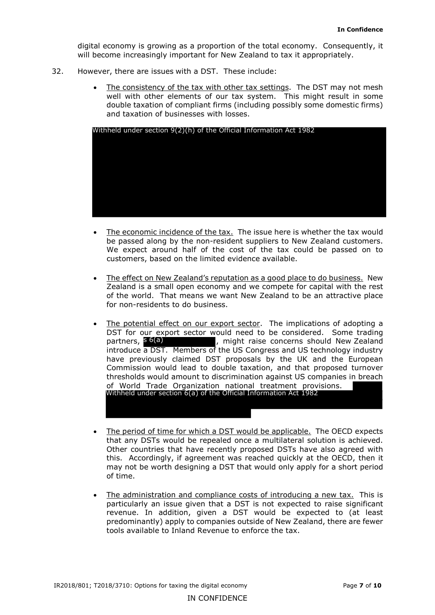digital economy is growing as a proportion of the total economy. Consequently, it will become increasingly important for New Zealand to tax it appropriately.

- 32. However, there are issues with a DST. These include:
	- The consistency of the tax with other tax settings. The DST may not mesh well with other elements of our tax system. This might result in some double taxation of compliant firms (including possibly some domestic firms) and taxation of businesses with losses.

|           | Withheld under section $9(2)(h)$ of the Official Information Act 1982                                                                                                                                                                                                                                                                                                                                                                                                                                                                                                                                                                                 |
|-----------|-------------------------------------------------------------------------------------------------------------------------------------------------------------------------------------------------------------------------------------------------------------------------------------------------------------------------------------------------------------------------------------------------------------------------------------------------------------------------------------------------------------------------------------------------------------------------------------------------------------------------------------------------------|
|           |                                                                                                                                                                                                                                                                                                                                                                                                                                                                                                                                                                                                                                                       |
|           | The economic incidence of the tax. The issue here is whether the tax would<br>be passed along by the non-resident suppliers to New Zealand customers.<br>We expect around half of the cost of the tax could be passed on to<br>customers, based on the limited evidence available.                                                                                                                                                                                                                                                                                                                                                                    |
|           | The effect on New Zealand's reputation as a good place to do business. New<br>Zealand is a small open economy and we compete for capital with the rest<br>of the world. That means we want New Zealand to be an attractive place<br>for non-residents to do business.                                                                                                                                                                                                                                                                                                                                                                                 |
|           | The potential effect on our export sector. The implications of adopting a<br>DST for our export sector would need to be considered. Some trading<br>partners, s 6(a)<br>, might raise concerns should New Zealand<br>introduce a DST. Members of the US Congress and US technology industry<br>have previously claimed DST proposals by the UK and the European<br>Commission would lead to double taxation, and that proposed turnover<br>thresholds would amount to discrimination against US companies in breach<br>of World Trade Organization national treatment provisions.<br>Withheld under section 6(a) of the Official Information Act 1982 |
| $\bullet$ | The period of time for which a DST would be applicable. The OECD expects<br>that any DSTs would be repealed once a multilateral solution is achieved.<br>Other countries that have recently proposed DSTs have also agreed with<br>this. Accordingly, if agreement was reached quickly at the OECD, then it<br>may not be worth designing a DST that would only apply for a short period<br>of time.                                                                                                                                                                                                                                                  |
|           | The administration and compliance costs of introducing a new tax. This is<br>particularly an issue given that a DST is not expected to raise significant<br>revenue. In addition, given a DST would be expected to (at least<br>predominantly) apply to companies outside of New Zealand, there are fewer<br>tools available to Inland Revenue to enforce the tax.                                                                                                                                                                                                                                                                                    |

- The economic incidence of the tax. The issue here is whether the tax would be passed along by the non-resident suppliers to New Zealand customers. We expect around half of the cost of the tax could be passed on to customers, based on the limited evidence available.
- The effect on New Zealand's reputation as a good place to do business. New Zealand is a small open economy and we compete for capital with the rest of the world. That means we want New Zealand to be an attractive place for non-residents to do business.
- The potential effect on our export sector. The implications of adopting a DST for our export sector would need to be considered. Some trading  $p$ , might raise concerns should New Zealand introduce a DST. Members of the US Congress and US technology industry have previously claimed DST proposals by the UK and the European Commission would lead to double taxation, and that proposed turnover thresholds would amount to discrimination against US companies in breach of World Trade Organization national treatment provisions. partners, s 6(a) Withheld under section 6(a) of the Official Information Act 1982
- The period of time for which a DST would be applicable.The OECD expects that any DSTs would be repealed once a multilateral solution is achieved. Other countries that have recently proposed DSTs have also agreed with this. Accordingly, if agreement was reached quickly at the OECD, then it may not be worth designing a DST that would only apply for a short period of time.
- The administration and compliance costs of introducing a new tax. This is particularly an issue given that a DST is not expected to raise significant revenue. In addition, given a DST would be expected to (at least predominantly) apply to companies outside of New Zealand, there are fewer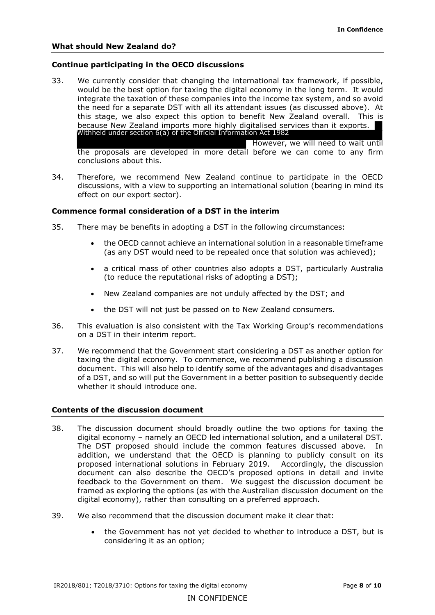#### **Continue participating in the OECD discussions**

- 33. We currently consider that changing the international tax framework, if possible, would be the best option for taxing the digital economy in the long term. It would integrate the taxation of these companies into the income tax system, and so avoid the need for a separate DST with all its attendant issues (as discussed above). At this stage, we also expect this option to benefit New Zealand overall. This is because New Zealand imports more highly digitalised services than it exports. However, we will need to wait until the proposals are developed in more detail before we can come to any firm conclusions about this. Withheld under section 6(a) of the Official Information Act 1982
- 34. Therefore, we recommend New Zealand continue to participate in the OECD discussions, with a view to supporting an international solution (bearing in mind its effect on our export sector).

#### **Commence formal consideration of a DST in the interim**

- 35. There may be benefits in adopting a DST in the following circumstances:
	- the OECD cannot achieve an international solution in a reasonable timeframe (as any DST would need to be repealed once that solution was achieved);
	- a critical mass of other countries also adopts a DST, particularly Australia (to reduce the reputational risks of adopting a DST);
	- New Zealand companies are not unduly affected by the DST; and
	- the DST will not just be passed on to New Zealand consumers.
- 36. This evaluation is also consistent with the Tax Working Group's recommendations on a DST in their interim report.
- 37. We recommend that the Government start considering a DST as another option for taxing the digital economy. To commence, we recommend publishing a discussion document. This will also help to identify some of the advantages and disadvantages of a DST, and so will put the Government in a better position to subsequently decide whether it should introduce one.

#### **Contents of the discussion document**

- 38. The discussion document should broadly outline the two options for taxing the digital economy – namely an OECD led international solution, and a unilateral DST. The DST proposed should include the common features discussed above. In addition, we understand that the OECD is planning to publicly consult on its proposed international solutions in February 2019. Accordingly, the discussion document can also describe the OECD's proposed options in detail and invite feedback to the Government on them. We suggest the discussion document be framed as exploring the options (as with the Australian discussion document on the digital economy), rather than consulting on a preferred approach.
- 39. We also recommend that the discussion document make it clear that:
	- the Government has not yet decided to whether to introduce a DST, but is considering it as an option;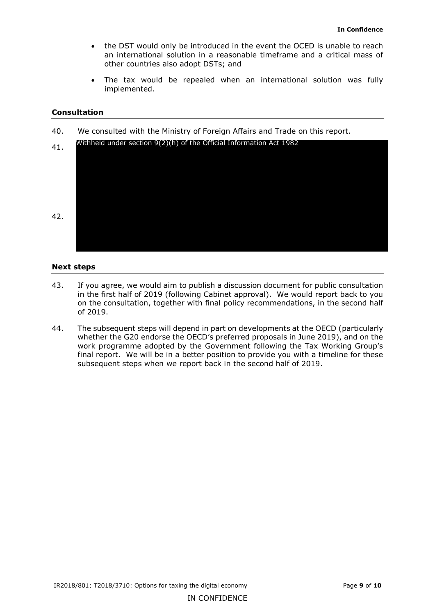- the DST would only be introduced in the event the OCED is unable to reach an international solution in a reasonable timeframe and a critical mass of other countries also adopt DSTs; and
- The tax would be repealed when an international solution was fully implemented.

#### **Consultation**

40. We consulted with the Ministry of Foreign Affairs and Trade on this report.

| 41. | Withheld under section $9(2)(h)$ of the Official Information Act 1982 |
|-----|-----------------------------------------------------------------------|
|     |                                                                       |
|     |                                                                       |
|     |                                                                       |
| 42. |                                                                       |
|     |                                                                       |
|     |                                                                       |

#### **Next steps**

- 43. If you agree, we would aim to publish a discussion document for public consultation in the first half of 2019 (following Cabinet approval). We would report back to you on the consultation, together with final policy recommendations, in the second half of 2019.
- 44. The subsequent steps will depend in part on developments at the OECD (particularly whether the G20 endorse the OECD's preferred proposals in June 2019), and on the work programme adopted by the Government following the Tax Working Group's final report. We will be in a better position to provide you with a timeline for these subsequent steps when we report back in the second half of 2019.